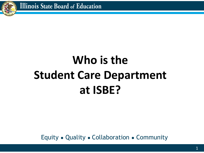

# **Who is the Student Care Department at ISBE?**

Equity ● Quality ● Collaboration ● Community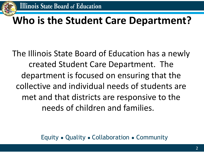

### **Who is the Student Care Department?**

The Illinois State Board of Education has a newly created Student Care Department. The department is focused on ensuring that the collective and individual needs of students are met and that districts are responsive to the needs of children and families.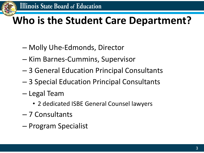

# **Who is the Student Care Department?**

- Molly Uhe-Edmonds, Director
- Kim Barnes-Cummins, Supervisor
- 3 General Education Principal Consultants
- 3 Special Education Principal Consultants
- Legal Team
	- 2 dedicated ISBE General Counsel lawyers
- 7 Consultants
- Program Specialist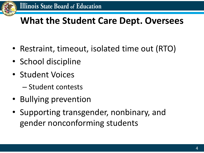

#### **What the Student Care Dept. Oversees**

- Restraint, timeout, isolated time out (RTO)
- School discipline
- Student Voices
	- Student contests
- Bullying prevention
- Supporting transgender, nonbinary, and gender nonconforming students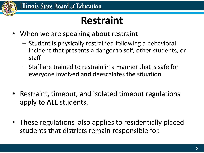

### **Restraint**

- When we are speaking about restraint
	- Student is physically restrained following a behavioral incident that presents a danger to self, other students, or staff
	- Staff are trained to restrain in a manner that is safe for everyone involved and deescalates the situation
- Restraint, timeout, and isolated timeout regulations apply to **ALL** students.
- These regulations also applies to residentially placed students that districts remain responsible for.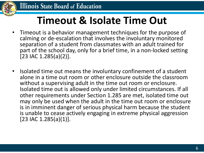

### **Timeout & Isolate Time Out**

- Timeout is a behavior management techniques for the purpose of calming or de-escalation that involves the involuntary monitored separation of a student from classmates with an adult trained for part of the school day, only for a brief time, in a non-locked setting [23 IAC 1.285(a)(2)].
- Isolated time out means the involuntary confinement of a student alone in a time out room or other enclosure outside the classroom without a supervising adult in the time out room or enclosure. Isolated time out is allowed only under limited circumstances. If all other requirements under Section 1.285 are met, isolated time out may only be used when the adult in the time out room or enclosure is in imminent danger of serious physical harm because the student is unable to cease actively engaging in extreme physical aggression [23 IAC 1.285(a)(1)].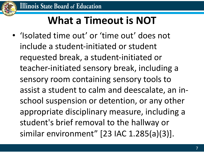

# **What a Timeout is NOT**

• 'Isolated time out' or 'time out' does not include a student-initiated or student requested break, a student-initiated or teacher-initiated sensory break, including a sensory room containing sensory tools to assist a student to calm and deescalate, an inschool suspension or detention, or any other appropriate disciplinary measure, including a student's brief removal to the hallway or similar environment" [23 IAC 1.285(a)(3)].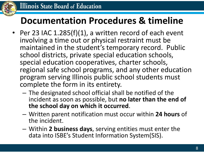

#### **Documentation Procedures & timeline**

- Per 23 IAC 1.285(f)(1), a written record of each event involving a time out or physical restraint must be maintained in the student's temporary record. Public school districts, private special education schools, special education cooperatives, charter schools, regional safe school programs, and any other education program serving Illinois public school students must complete the form in its entirety.
	- The designated school official shall be notified of the incident as soon as possible, but **no later than the end of the school day on which it occurred**.
	- Written parent notification must occur within **24 hours** of the incident.
	- Within **2 business days**, serving entities must enter the data into ISBE's Student Information System(SIS).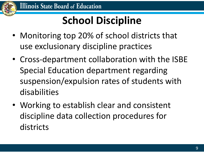

# **School Discipline**

- Monitoring top 20% of school districts that use exclusionary discipline practices
- Cross-department collaboration with the ISBE Special Education department regarding suspension/expulsion rates of students with disabilities
- Working to establish clear and consistent discipline data collection procedures for districts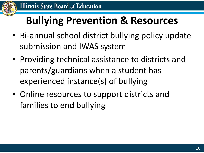

# **Bullying Prevention & Resources**

- Bi-annual school district bullying policy update submission and IWAS system
- Providing technical assistance to districts and parents/guardians when a student has experienced instance(s) of bullying
- Online resources to support districts and families to end bullying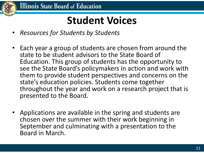

### **Student Voices**

- *Resources for Students by Students*
- Each year a group of students are chosen from around the state to be student advisors to the State Board of Education. This group of students has the opportunity to see the State Board's policymakers in action and work with them to provide student perspectives and concerns on the state's education policies. Students come together throughout the year and work on a research project that is presented to the Board.
- Applications are available in the spring and students are chosen over the summer with their work beginning in September and culminating with a presentation to the Board in March.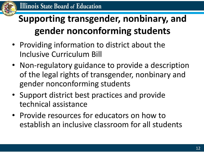

#### **Supporting transgender, nonbinary, and gender nonconforming students**

- Providing information to district about the Inclusive Curriculum Bill
- Non-regulatory guidance to provide a description of the legal rights of transgender, nonbinary and gender nonconforming students
- Support district best practices and provide technical assistance
- Provide resources for educators on how to establish an inclusive classroom for all students